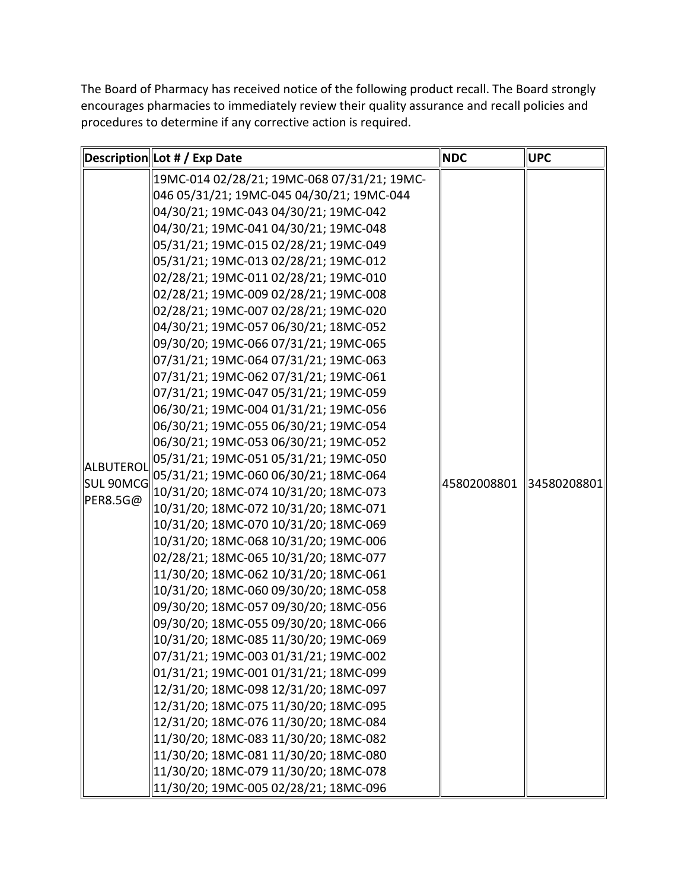The Board of Pharmacy has received notice of the following product recall. The Board strongly encourages pharmacies to immediately review their quality assurance and recall policies and procedures to determine if any corrective action is required.

|                                           | Description Lot # / Exp Date                | <b>NDC</b>  | <b>UPC</b>  |
|-------------------------------------------|---------------------------------------------|-------------|-------------|
|                                           | 19MC-014 02/28/21; 19MC-068 07/31/21; 19MC- |             |             |
|                                           | 046 05/31/21; 19MC-045 04/30/21; 19MC-044   |             | 34580208801 |
|                                           | 04/30/21; 19MC-043 04/30/21; 19MC-042       |             |             |
|                                           | 04/30/21; 19MC-041 04/30/21; 19MC-048       |             |             |
|                                           | 05/31/21; 19MC-015 02/28/21; 19MC-049       |             |             |
|                                           | 05/31/21; 19MC-013 02/28/21; 19MC-012       |             |             |
|                                           | 02/28/21; 19MC-011 02/28/21; 19MC-010       |             |             |
|                                           | 02/28/21; 19MC-009 02/28/21; 19MC-008       |             |             |
|                                           | 02/28/21; 19MC-007 02/28/21; 19MC-020       |             |             |
|                                           | 04/30/21; 19MC-057 06/30/21; 18MC-052       |             |             |
|                                           | 09/30/20; 19MC-066 07/31/21; 19MC-065       |             |             |
|                                           | 07/31/21; 19MC-064 07/31/21; 19MC-063       |             |             |
|                                           | 07/31/21; 19MC-062 07/31/21; 19MC-061       |             |             |
|                                           | 07/31/21; 19MC-047 05/31/21; 19MC-059       |             |             |
|                                           | 06/30/21; 19MC-004 01/31/21; 19MC-056       |             |             |
|                                           | 06/30/21; 19MC-055 06/30/21; 19MC-054       |             |             |
| ALBUTEROL<br><b>SUL 90MCG</b><br>PERS.5G@ | 06/30/21; 19MC-053 06/30/21; 19MC-052       | 45802008801 |             |
|                                           | 05/31/21; 19MC-051 05/31/21; 19MC-050       |             |             |
|                                           | 05/31/21; 19MC-060 06/30/21; 18MC-064       |             |             |
|                                           | 10/31/20; 18MC-074 10/31/20; 18MC-073       |             |             |
|                                           | 10/31/20; 18MC-072 10/31/20; 18MC-071       |             |             |
|                                           | 10/31/20; 18MC-070 10/31/20; 18MC-069       |             |             |
|                                           | 10/31/20; 18MC-068 10/31/20; 19MC-006       |             |             |
|                                           | 02/28/21; 18MC-065 10/31/20; 18MC-077       |             |             |
|                                           | 11/30/20; 18MC-062 10/31/20; 18MC-061       |             |             |
|                                           | 10/31/20; 18MC-060 09/30/20; 18MC-058       |             |             |
|                                           | 09/30/20; 18MC-057 09/30/20; 18MC-056       |             |             |
|                                           | 09/30/20; 18MC-055 09/30/20; 18MC-066       |             |             |
|                                           | 10/31/20; 18MC-085 11/30/20; 19MC-069       |             |             |
|                                           | 07/31/21; 19MC-003 01/31/21; 19MC-002       |             |             |
|                                           | 01/31/21; 19MC-001 01/31/21; 18MC-099       |             |             |
|                                           | 12/31/20; 18MC-098 12/31/20; 18MC-097       |             |             |
|                                           | 12/31/20; 18MC-075 11/30/20; 18MC-095       |             |             |
|                                           | 12/31/20; 18MC-076 11/30/20; 18MC-084       |             |             |
|                                           | 11/30/20; 18MC-083 11/30/20; 18MC-082       |             |             |
|                                           | 11/30/20; 18MC-081 11/30/20; 18MC-080       |             |             |
|                                           | 11/30/20; 18MC-079 11/30/20; 18MC-078       |             |             |
|                                           | 11/30/20; 19MC-005 02/28/21; 18MC-096       |             |             |